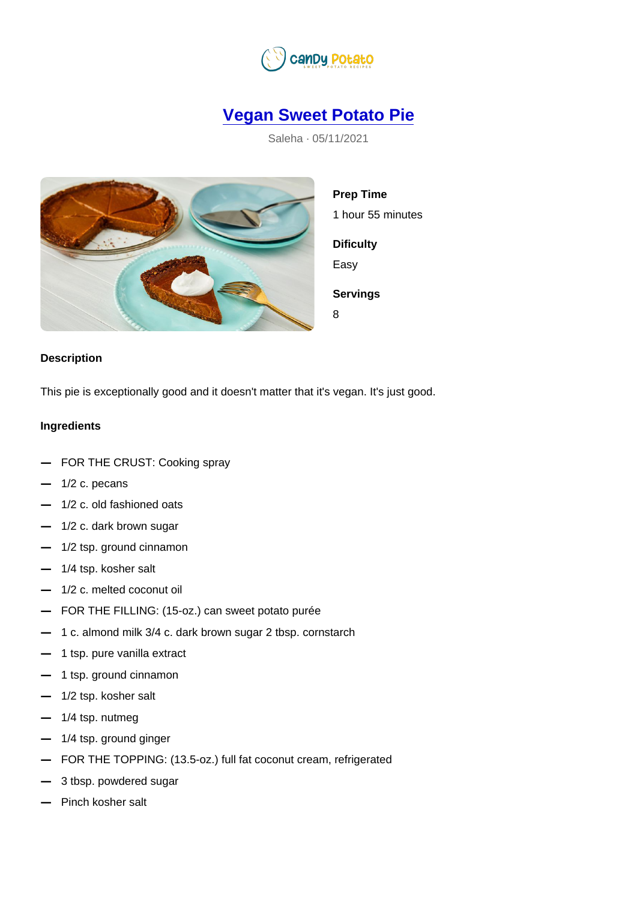## [Vegan Sweet Potato Pie](https://candypotato.com/recipe/19/vegan-sweet-potato-pie)

Saleha · 05/11/2021

Prep Time 1 hour 55 minutes **Dificulty** Easy Servings 8

## Description

This pie is exceptionally good and it doesn't matter that it's vegan. It's just good.

## Ingredients

| FOR THE CRUST: Cooking spray                                     |
|------------------------------------------------------------------|
| $1/2$ c. pecans                                                  |
| 1/2 c. old fashioned oats                                        |
| 1/2 c. dark brown sugar                                          |
| 1/2 tsp. ground cinnamon                                         |
| 1/4 tsp. kosher salt                                             |
| 1/2 c. melted coconut oil                                        |
| FOR THE FILLING: (15-oz.) can sweet potato purée                 |
| 1 c. almond milk 3/4 c. dark brown sugar 2 tbsp. cornstarch      |
| 1 tsp. pure vanilla extract                                      |
| 1 tsp. ground cinnamon                                           |
| 1/2 tsp. kosher salt                                             |
| 1/4 tsp. nutmeg                                                  |
| 1/4 tsp. ground ginger                                           |
| FOR THE TOPPING: (13.5-oz.) full fat coconut cream, refrigerated |
| 3 tbsp. powdered sugar                                           |
| Pinch kosher salt                                                |